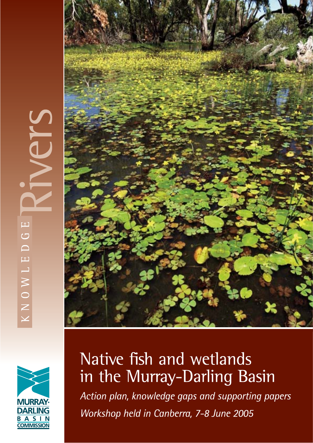# $\Box$  $\overline{C}$  $\subset$  $\Box$ KNOWL





# Native fish and wetlands in the Murray-Darling Basin

Action plan, knowledge gaps and supporting papers Workshop held in Canberra, 7-8 June 2005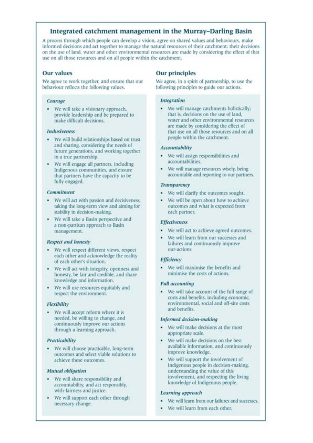## Integrated catchment management in the Murray-Darling Basin

A process through which people can develop a vision, agree on shared values and behaviours, make informed decisions and act together to manage the natural resources of their catchment: their decisions on the use of land, water and other environmental resources are made by considering the effect of that use on all those resources and on all people within the catchment.

## **Our values**

We agree to work together, and ensure that our behaviour reflects the following values.

## Courage

• We will take a visionary approach. provide leadership and be prepared to make difficult decisions.

## **Inclusiveness**

- · We will build relationships based on trust and sharing, considering the needs of future generations, and working together in a true partnership.
- We will engage all partners, including Indigenous communities, and ensure that partners have the capacity to be fully engaged.

## Commitment

- We will act with passion and decisiveness, taking the long-term view and aiming for stability in decision-making.
- We will take a Basin perspective and a non-partisan approach to Basin management.

#### **Respect and honesty**

- · We will respect different views, respect each other and acknowledge the reality of each other's situation.
- We will act with integrity, openness and honesty, be fair and credible, and share knowledge and information.
- We will use resources equitably and respect the environment.

#### Flexibility

• We will accept reform where it is needed, be willing to change, and continuously improve our actions through a learning approach.

## Practicability

· We will choose practicable, long-term outcomes and select viable solutions to achieve these outcomes.

## Mutual obligation

- We will share responsibility and accountability, and act responsibly, with-fairness and justice.
- We will support each other through ٠ necessary change.

## **Our principles**

We agree, in a spirit of partnership, to use the following principles to guide our actions.

## **Integration**

· We will manage catchments holistically: that is, decisions on the use of land, water and other environmental resources are made by considering the effect of that use on all those resources and on all people within the catchment.

## Accountability

- We will assign responsibilities and accountabilities.
- We will manage resources wisely, being accountable and reporting to our partners.

## **Transparency**

- We will clarify the outcomes sought.
- We will be open about how to achieve outcomes and what is expected from each partner.

#### **Effectiveness**

- We will act to achieve agreed outcomes.
- We will learn from our successes and failures and continuously improve our-actions.

#### Efficiency

• We will maximise the benefits and minimise the costs of actions.

#### **Full accounting**

. We will take account of the full range of costs and benefits, including economic. environmental, social and off-site costs and benefits.

#### Informed decision-making

- We will make decisions at the most appropriate scale.
- We will make decisions on the best available information, and continuously improve knowledge.
- We will support the involvement of Indigenous people in decision-making, understanding the value of this involvement, and respecting the living knowledge of Indigenous people.

#### Learning approach

- We will learn from our failures and successes.
- We will learn from each other.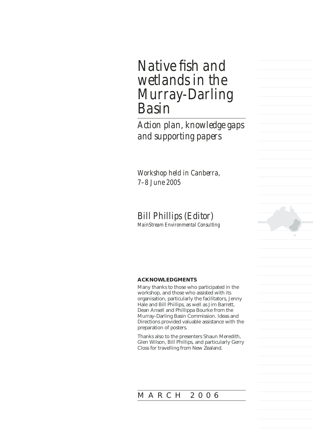## *Native fish and wetlands in the Murray-Darling Basin*

*Action plan, knowledge gaps and supporting papers*

*Workshop held in Canberra, 7–8 June 2005*

## *Bill Phillips (Editor)*

*MainStream Environmental Consulting*

## **ACKNOWLEDGMENTS**

Many thanks to those who participated in the workshop, and those who assisted with its organisation, particularly the facilitators, Jenny Hale and Bill Phillips, as well as Jim Barrett, Dean Ansell and Phillippa Bourke from the Murray-Darling Basin Commission. Ideas and Directions provided valuable assistance with the preparation of posters.

Thanks also to the presenters Shaun Meredith, Glen Wilson, Bill Phillips, and particularly Gerry Closs for travelling from New Zealand.

## MARCH 2006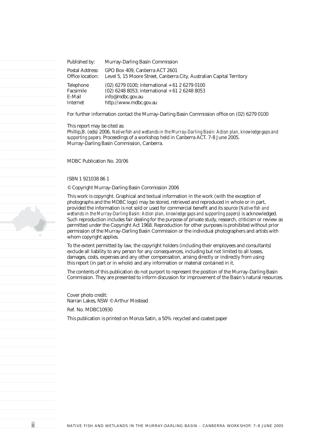| Published by:    | Murray-Darling Basin Commission                                       |
|------------------|-----------------------------------------------------------------------|
| Postal Address:  | GPO Box 409, Canberra ACT 2601                                        |
| Office location: | Level 5, 15 Moore Street, Canberra City, Australian Capital Territory |
| Telephone        | $(02)$ 6279 0100; international + 61 2 6279 0100                      |
| Facsimile        | $(02)$ 6248 8053; international + 61 2 6248 8053                      |
| E-Mail           | info@mdbc.gov.au                                                      |
| Internet         | http://www.mdbc.gov.au                                                |

For further information contact the Murray-Darling Basin Commission office on (02) 6279 0100

This report may be cited as:

Phillip,B. (eds) 2006. *Native fish and wetlands in the Murray-Darling Basin: Action plan, knowledge gaps and supporting papers.* Proceedings of a workshop held in Canberra ACT. 7-8 June 2005. Murray-Darling Basin Commission, Canberra.

MDBC Publication No. 20/06

#### ISBN 1 921038 86 1

© Copyright Murray-Darling Basin Commission 2006

This work is copyright. Graphical and textual information in the work (with the exception of photographs and the MDBC logo) may be stored, retrieved and reproduced in whole or in part, provided the information is not sold or used for commercial benefit and its source (*Native fish and wetlands in the Murray-Darling Basin: Action plan, knowledge gaps and supporting papers*) is acknowledged. Such reproduction includes fair dealing for the purpose of private study, research, criticism or review as permitted under the Copyright Act 1968. Reproduction for other purposes is prohibited without prior permission of the Murray-Darling Basin Commission or the individual photographers and artists with whom copyright applies.

To the extent permitted by law, the copyright holders (including their employees and consultants) exclude all liability to any person for any consequences, including but not limited to all losses, damages, costs, expenses and any other compensation, arising directly or indirectly from using this report (in part or in whole) and any information or material contained in it.

The contents of this publication do not purport to represent the position of the Murray-Darling Basin Commission. They are presented to inform discussion for improvement of the Basin's natural resources.

Cover photo credit: Narran Lakes, NSW © Arthur Mostead Ref. No. MDBC10930

This publication is printed on Monza Satin, a 50% recycled and coated paper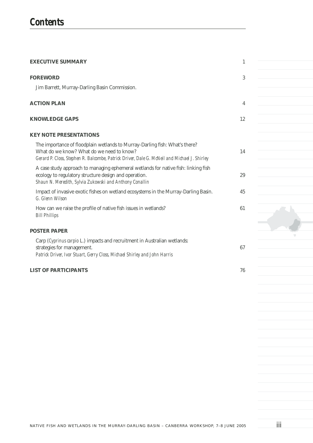| <b>EXECUTIVE SUMMARY</b>                                                                                                                                                                                                | 1  |
|-------------------------------------------------------------------------------------------------------------------------------------------------------------------------------------------------------------------------|----|
| <b>FOREWORD</b>                                                                                                                                                                                                         | 3  |
| Jim Barrett, Murray-Darling Basin Commission.                                                                                                                                                                           |    |
| <b>ACTION PLAN</b>                                                                                                                                                                                                      | 4  |
| <b>KNOWLEDGE GAPS</b>                                                                                                                                                                                                   | 12 |
| <b>KEY NOTE PRESENTATIONS</b>                                                                                                                                                                                           |    |
| The importance of floodplain wetlands to Murray-Darling fish: What's there?<br>What do we know? What do we need to know?<br>Gerard P. Closs, Stephen R. Balcombe, Patrick Driver, Dale G. McNeil and Michael J. Shirley | 14 |
| A case study approach to managing ephemeral wetlands for native fish: linking fish<br>ecology to regulatory structure design and operation.<br>Shaun N. Meredith, Sylvia Zukowski and Anthony Conallin                  | 29 |
| Impact of invasive exotic fishes on wetland ecosystems in the Murray-Darling Basin.<br>G. Glenn Wilson                                                                                                                  | 45 |
| How can we raise the profile of native fish issues in wetlands?<br><b>Bill Phillips</b>                                                                                                                                 | 61 |
| <b>POSTER PAPER</b>                                                                                                                                                                                                     |    |
| Carp (Cyprinus carpio L.) impacts and recruitment in Australian wetlands:<br>strategies for management.<br>Patrick Driver, Ivor Stuart, Gerry Closs, Michael Shirley and John Harris                                    | 67 |
| <b>LIST OF PARTICIPANTS</b>                                                                                                                                                                                             | 76 |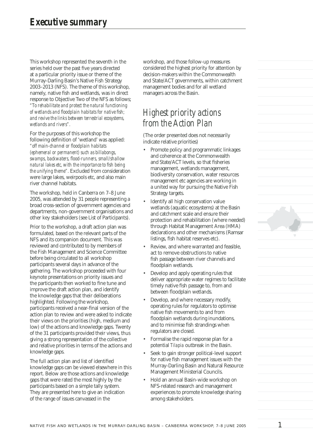This workshop represented the seventh in the series held over the past five years directed at a particular priority issue or theme of the Murray-Darling Basin's Native Fish Strategy 2003–2013 (NFS). The theme of this workshop, namely, native fish and wetlands, was in direct response to Objective Two of the NFS as follows; *"To rehabilitate and protect the natural functioning*  of wetlands and floodplain habitats for native fish; *and revive the links between terrestrial ecosystems, wetlands and rivers".* 

For the purposes of this workshop the following definition of 'wetland' was applied: *"off main-channel or fl oodplain habitats (ephemeral or permanent) such as billabongs, swamps, backwaters, fl ood-runners, small/shallow natural lakes etc, with the importance to fish being the unifying theme".* Excluded from consideration were large lakes, weirpools etc, and also main river channel habitats.

The workshop, held in Canberra on 7–8 June 2005, was attended by 31 people representing a broad cross-section of government agencies and departments, non-government organisations and other key stakeholders (see List of Participants).

Prior to the workshop, a draft action plan was formulated, based on the relevant parts of the NFS and its companion document. This was reviewed and contributed to by members of the Fish Management and Science Committee before being circulated to all workshop participants several days in advance of the gathering. The workshop proceeded with four keynote presentations on priority issues and the participants then worked to fine tune and improve the draft action plan, and identify the knowledge gaps that their deliberations highlighted. Following the workshop, participants received a near-final version of the action plan to review and were asked to indicate their views on the priorities (high, medium and low) of the actions and knowledge gaps. Twenty of the 31 participants provided their views, thus giving a strong representation of the collective and relative priorities in terms of the actions and knowledge gaps.

The full action plan and list of identified knowledge gaps can be viewed elsewhere in this report. Below are those actions and knowledge gaps that were rated the most highly by the participants based on a simple tally system. They are presented here to give an indication of the range of issues canvassed in the

workshop, and those follow-up measures considered the highest priority for attention by decision-makers within the Commonwealth and State/ACT governments, within catchment management bodies and for all wetland managers across the Basin.

## *Highest priority actions from the Action Plan*

(The order presented does not necessarily indicate relative priorities)

- Promote policy and programmatic linkages and coherence at the Commonwealth and State/ACT levels, so that fisheries management, wetlands management, biodiversity conservation, water resources management etc agencies are working in a united way for pursuing the Native Fish Strategy targets.
- Identify all high conservation value wetlands (aquatic ecosystems) at the Basin and catchment scale and ensure their protection and rehabilitation (where needed) through Habitat Management Area (HMA) declarations and other mechanisms (Ramsar listings, fish habitat reserves etc).
- Review, and where warranted and feasible, act to remove obstructions to native fish passage between river channels and floodplain wetlands.
- Develop and apply operating rules that deliver appropriate water regimes to facilitate timely native fish passage to, from and between floodplain wetlands.
- Develop, and where necessary modify, operating rules for regulators to optimise native fish movements to and from floodplain wetlands during inundations, and to minimise fish strandings when regulators are closed.
- Formalise the rapid response plan for a potential *Tilapia* outbreak in the Basin.
- Seek to gain stronger political-level support for native fish management issues with the Murray-Darling Basin and Natural Resource Management Ministerial Councils.
- Hold an annual Basin-wide workshop on NFS-related research and management experiences to promote knowledge sharing among stakeholders.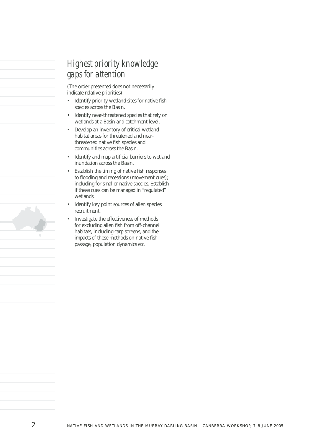## *Highest priority knowledge gaps for attention*

(The order presented does not necessarily indicate relative priorities)

- Identify priority wetland sites for native fish species across the Basin.
- Identify near-threatened species that rely on wetlands at a Basin and catchment level.
- Develop an inventory of critical wetland habitat areas for threatened and nearthreatened native fish species and communities across the Basin.
- Identify and map artificial barriers to wetland inundation across the Basin.
- Establish the timing of native fish responses to flooding and recessions (movement cues); including for smaller native species. Establish if these cues can be managed in "regulated" wetlands.
- Identify key point sources of alien species recruitment.
- Investigate the effectiveness of methods for excluding alien fish from off-channel habitats, including carp screens, and the impacts of these methods on native fish passage, population dynamics etc.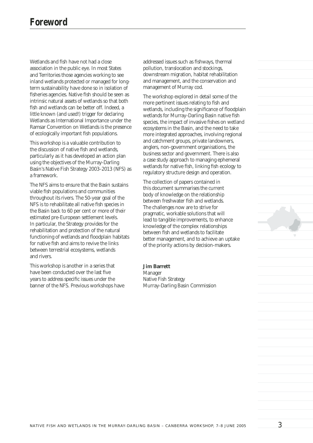Wetlands and fish have not had a close association in the public eye. In most States and Territories those agencies working to see inland wetlands protected or managed for longterm sustainability have done so in isolation of fisheries agencies. Native fish should be seen as intrinsic natural assets of wetlands so that both fish and wetlands can be better off. Indeed, a little known (and used!) trigger for declaring Wetlands as International Importance under the Ramsar Convention on Wetlands is the presence of ecologically important fish populations.

This workshop is a valuable contribution to the discussion of native fish and wetlands, particularly as it has developed an action plan using the objectives of the Murray-Darling Basin's Native Fish Strategy 2003–2013 (NFS) as a framework.

The NFS aims to ensure that the Basin sustains viable fish populations and communities throughout its rivers. The 50-year goal of the NFS is to rehabilitate all native fish species in the Basin back to 60 per cent or more of their estimated pre-European settlement levels. In particular, the Strategy provides for the rehabilitation and protection of the natural functioning of wetlands and floodplain habitats for native fish and aims to revive the links between terrestrial ecosystems, wetlands and rivers.

This workshop is another in a series that have been conducted over the last five years to address specific issues under the banner of the NFS. Previous workshops have addressed issues such as fishways, thermal pollution, translocation and stockings, downstream migration, habitat rehabilitation and management, and the conservation and management of Murray cod.

The workshop explored in detail some of the more pertinent issues relating to fish and wetlands, including the significance of floodplain wetlands for Murray-Darling Basin native fish species, the impact of invasive fishes on wetland ecosystems in the Basin, and the need to take more integrated approaches, involving regional and catchment groups, private landowners, anglers, non-government organisations, the business sector and government. There is also a case study approach to managing ephemeral wetlands for native fish, linking fish ecology to regulatory structure design and operation.

The collection of papers contained in this document summarises the current body of knowledge on the relationship between freshwater fish and wetlands. The challenges now are to strive for pragmatic, workable solutions that will lead to tangible improvements, to enhance knowledge of the complex relationships between fish and wetlands to facilitate better management, and to achieve an uptake of the priority actions by decision-makers.

**Jim Barrett** Manager Native Fish Strategy Murray-Darling Basin Commission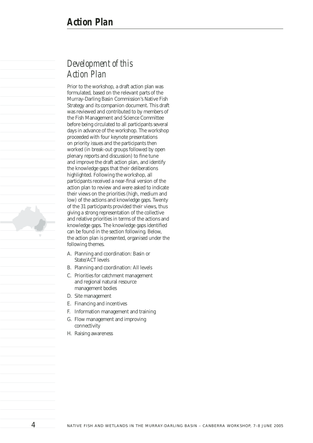## *Development of this Action Plan*

Prior to the workshop, a draft action plan was formulated, based on the relevant parts of the Murray-Darling Basin Commission's Native Fish Strategy and its companion document. This draft was reviewed and contributed to by members of the Fish Management and Science Committee before being circulated to all participants several days in advance of the workshop. The workshop proceeded with four keynote presentations on priority issues and the participants then worked (in break-out groups followed by open plenary reports and discussion) to fine tune and improve the draft action plan, and identify the knowledge gaps that their deliberations highlighted. Following the workshop, all participants received a near-final version of the action plan to review and were asked to indicate their views on the priorities (high, medium and low) of the actions and knowledge gaps. Twenty of the 31 participants provided their views, thus giving a strong representation of the collective and relative priorities in terms of the actions and knowledge gaps. The knowledge gaps identified can be found in the section following. Below, the action plan is presented, organised under the following themes.

- A. Planning and coordination: Basin or State/ACT levels
- B. Planning and coordination: All levels
- C. Priorities for catchment management and regional natural resource management bodies
- D. Site management
- E. Financing and incentives
- F. Information management and training
- G. Flow management and improving connectivity
- H. Raising awareness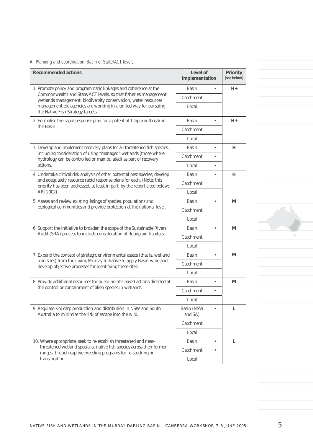## *A. Planning and coordination: Basin or State/ACT levels.*

| <b>Recommended actions</b>                                                                                                                             | Level of<br>implementation |           | <b>Priority</b><br>(see below) |
|--------------------------------------------------------------------------------------------------------------------------------------------------------|----------------------------|-----------|--------------------------------|
| 1. Promote policy and programmatic linkages and coherence at the                                                                                       | <b>Basin</b>               | $\bullet$ | $H_{+}$                        |
| Commonwealth and State/ACT levels, so that fisheries management,<br>wetlands management, biodiversity conservation, water resources                    | Catchment                  |           |                                |
| management etc agencies are working in a united way for pursuing<br>the Native Fish Strategy targets.                                                  | Local                      |           |                                |
| 2. Formalise the rapid response plan for a potential Tilapia outbreak in                                                                               | <b>Basin</b>               | ٠         | $H_{+}$                        |
| the Basin.                                                                                                                                             | Catchment                  |           |                                |
|                                                                                                                                                        | Local                      |           |                                |
| 3. Develop and implement recovery plans for all threatened fish species,                                                                               | <b>Basin</b>               | $\bullet$ | Н                              |
| including consideration of using "managed" wetlands (those where<br>hydrology can be controlled or manipulated) as part of recovery                    | Catchment                  | ٠         |                                |
| actions.                                                                                                                                               | Local                      | $\bullet$ |                                |
| 4. Undertake critical risk analysis of other potential pest species; develop                                                                           | <b>Basin</b>               | $\bullet$ | Н                              |
| and adequately resource rapid response plans for each. (Note: this<br>priority has been addressed, at least in part, by the report cited below;        | Catchment                  |           |                                |
| ARI 2002).                                                                                                                                             | Local                      |           |                                |
| 5. Assess and review existing listings of species, populations and                                                                                     | <b>Basin</b>               | $\bullet$ | M                              |
| ecological communities and provide protection at the national level.                                                                                   | Catchment                  |           |                                |
|                                                                                                                                                        | Local                      |           |                                |
| 6. Support the initiative to broaden the scope of the Sustainable Rivers                                                                               | <b>Basin</b>               | $\bullet$ | M                              |
| Audit (SRA) process to include consideration of floodplain habitats.                                                                                   | Catchment                  |           |                                |
|                                                                                                                                                        | Local                      |           |                                |
| 7. Expand the concept of strategic environmental assets (that is, wetland                                                                              | <b>Basin</b>               | $\bullet$ | M                              |
| icon sites) from the Living Murray Initiative to apply Basin-wide and<br>develop objective processes for identifying these sites.                      | Catchment                  |           |                                |
|                                                                                                                                                        | Local                      |           |                                |
| 8. Provide additional resources for pursuing site-based actions directed at                                                                            | <b>Basin</b>               | ٠         | M                              |
| the control or containment of alien species in wetlands.                                                                                               | Catchment                  |           |                                |
|                                                                                                                                                        | Local                      |           |                                |
| 9. Regulate Koi carp production and distribution in NSW and South<br>Australia to minimise the risk of escape into the wild.                           | Basin (NSW<br>and SA)      |           | L                              |
|                                                                                                                                                        | Catchment                  |           |                                |
|                                                                                                                                                        | Local                      |           |                                |
| 10. Where appropriate, seek to re-establish threatened and near-                                                                                       | Basin                      |           | L                              |
| threatened wetland specialist native fish species across their former<br>ranges through captive breeding programs for re-stocking or<br>translocation. | Catchment                  |           |                                |
|                                                                                                                                                        | Local                      |           |                                |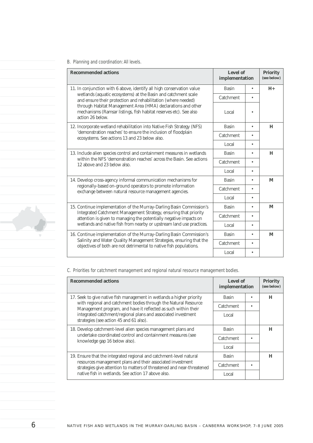## *B. Planning and coordination: All levels.*

| <b>Recommended actions</b>                                                                                                                                                                                     | Level of<br>implementation |           | <b>Priority</b><br>(see below) |
|----------------------------------------------------------------------------------------------------------------------------------------------------------------------------------------------------------------|----------------------------|-----------|--------------------------------|
| 11. In conjunction with 6 above, identify all high conservation value                                                                                                                                          | <b>Basin</b>               | ٠         | $H_{+}$                        |
| wetlands (aquatic ecosystems) at the Basin and catchment scale<br>and ensure their protection and rehabilitation (where needed)                                                                                | Catchment                  | ٠         |                                |
| through Habitat Management Area (HMA) declarations and other<br>mechanisms (Ramsar listings, fish habitat reserves etc). See also<br>action 26 below.                                                          | Local                      |           |                                |
| 12. Incorporate wetland rehabilitation into Native Fish Strategy (NFS)                                                                                                                                         | <b>Basin</b>               | $\bullet$ | H                              |
| 'demonstration reaches' to ensure the inclusion of floodplain<br>ecosystems. See actions 13 and 23 below also.                                                                                                 | Catchment                  | ٠         |                                |
|                                                                                                                                                                                                                | Local                      | $\bullet$ |                                |
| 13. Include alien species control and containment measures in wetlands                                                                                                                                         | <b>Basin</b>               | $\bullet$ | H                              |
| within the NFS 'demonstration reaches' across the Basin. See actions<br>12 above and 23 below also.                                                                                                            | Catchment                  | ٠         |                                |
|                                                                                                                                                                                                                | Local                      | $\bullet$ |                                |
| 14. Develop cross-agency informal communication mechanisms for                                                                                                                                                 | <b>Basin</b>               | $\bullet$ | M                              |
| regionally-based on-ground operators to promote information<br>exchange between natural resource management agencies.                                                                                          | Catchment                  | ٠         |                                |
|                                                                                                                                                                                                                | Local                      | $\bullet$ |                                |
| 15. Continue implementation of the Murray-Darling Basin Commission's                                                                                                                                           | <b>Basin</b>               | $\bullet$ | M                              |
| Integrated Catchment Management Strategy, ensuring that priority<br>attention is given to managing the potentially negative impacts on<br>wetlands and native fish from nearby or upstream land use practices. | Catchment                  | ٠         |                                |
|                                                                                                                                                                                                                | Local                      | $\bullet$ |                                |
| 16. Continue implementation of the Murray-Darling Basin Commission's                                                                                                                                           | <b>Basin</b>               | $\bullet$ | M                              |
| Salinity and Water Quality Management Strategies, ensuring that the<br>objectives of both are not detrimental to native fish populations.                                                                      | Catchment                  | ٠         |                                |
|                                                                                                                                                                                                                | Local                      | ٠         |                                |

*C. Priorities for catchment management and regional natural resource management bodies.*

| <b>Recommended actions</b>                                                                                                           | Level of<br>implementation | <b>Priority</b><br>(see below) |
|--------------------------------------------------------------------------------------------------------------------------------------|----------------------------|--------------------------------|
| 17. Seek to give native fish management in wetlands a higher priority                                                                | <b>Basin</b>               | H                              |
| with regional and catchment bodies through the Natural Resource<br>Management program, and have it reflected as such within their    | Catchment                  |                                |
| integrated catchment/regional plans and associated investment<br>strategies (see action 45 and 61 also).                             | Local                      |                                |
| 18. Develop catchment-level alien species management plans and                                                                       | <b>Basin</b>               | н                              |
| undertake coordinated control and containment measures (see<br>knowledge gap 16 below also).                                         | Catchment                  |                                |
|                                                                                                                                      | Local                      |                                |
| 19. Ensure that the integrated regional and catchment-level natural                                                                  | <b>Basin</b>               | Н                              |
| resources management plans and their associated investment<br>strategies give attention to matters of threatened and near-threatened | Catchment                  |                                |
| native fish in wetlands. See action 17 above also.                                                                                   | Local                      |                                |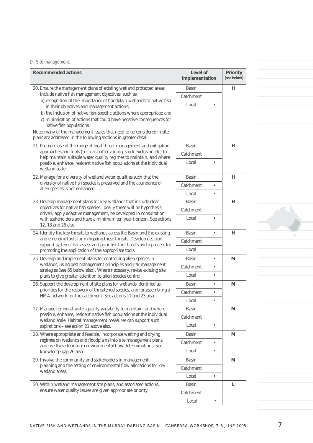## *D. Site management.*

| <b>Recommended actions</b>                                                                                                                    | Level of<br>implementation |           | <b>Priority</b><br>(see below) |
|-----------------------------------------------------------------------------------------------------------------------------------------------|----------------------------|-----------|--------------------------------|
| 20. Ensure the management plans of existing wetland protected areas                                                                           | <b>Basin</b>               |           | Н                              |
| include native fish management objectives, such as:                                                                                           | Catchment                  |           |                                |
| a) recognition of the importance of floodplain wetlands to native fish<br>in their objectives and management actions;                         | Local                      |           |                                |
| b) the inclusion of native fish-specific actions where appropriate; and                                                                       |                            |           |                                |
| c) minimisation of actions that could have negative consequences for<br>native fish populations.                                              |                            |           |                                |
| Note: many of the management issues that need to be considered in site                                                                        |                            |           |                                |
| plans are addressed in the following sections in greater detail.                                                                              |                            |           |                                |
| 21. Promote use of the range of local threat management and mitigation                                                                        | Basin                      |           | н                              |
| approaches and tools (such as buffer zoning, stock exclusion etc) to<br>help maintain suitable water quality regimes to maintain, and where   | Catchment                  |           |                                |
| possible, enhance, resident native fish populations at the individual<br>wetland scale.                                                       | Local                      | ٠         |                                |
| 22. Manage for a diversity of wetland water qualities such that the                                                                           | <b>Basin</b>               |           | н                              |
| diversity of native fish species is preserved and the abundance of<br>alien species is not enhanced.                                          | Catchment                  | $\bullet$ |                                |
|                                                                                                                                               | Local                      | $\bullet$ |                                |
| 23. Develop management plans for key wetlands that include clear                                                                              | <b>Basin</b>               |           | Н                              |
| objectives for native fish species. Ideally these will be hypothesis-<br>driven, apply adaptive management, be developed in consultation      | Catchment                  |           |                                |
| with stakeholders and have a minimum ten year horizon. See actions<br>12, 13 and 26 also.                                                     | Local                      |           |                                |
| 24. Identify the key threats to wetlands across the Basin and the existing                                                                    | <b>Basin</b>               | $\bullet$ | Н                              |
| and emerging tools for mitigating these threats. Develop decision<br>support systems that assess and prioritise the threats and a process for | Catchment                  |           |                                |
| promoting the application of the appropriate tools.                                                                                           | Local                      |           |                                |
| 25. Develop and implement plans for controlling alien species in                                                                              | <b>Basin</b>               | $\bullet$ | M                              |
| wetlands, using pest management principles and risk management<br>strategies (see 65 below also). Where necessary, revise existing site       | Catchment                  | $\bullet$ |                                |
| plans to give greater attention to alien species control.                                                                                     | Local                      | ٠         |                                |
| 26. Support the development of site plans for wetlands identified as                                                                          | <b>Basin</b>               | ٠         | M                              |
| priorities for the recovery of threatened species, and for assembling a<br>HMA network for the catchment. See actions 11 and 23 also.         | Catchment                  | ٠         |                                |
|                                                                                                                                               | Local                      | ٠         |                                |
| 27. Manage temporal water quality variability to maintain, and where                                                                          | <b>Basin</b>               |           | М                              |
| possible, enhance, resident native fish populations at the individual<br>wetland scale. Habitat management measures can support such          | Catchment                  |           |                                |
| aspirations - see action 21 above also.                                                                                                       | Local                      | $\bullet$ |                                |
| 28. Where appropriate and feasible, incorporate wetting and drying                                                                            | <b>Basin</b>               |           | М                              |
| regimes on wetlands and floodplains into site management plans,<br>and use these to inform environmental flow determinations. See             | Catchment                  | $\bullet$ |                                |
| knowledge gap 26 also.                                                                                                                        | Local                      | ٠         |                                |
| 29. Involve the community and stakeholders in management                                                                                      | <b>Basin</b>               |           | М                              |
| planning and the setting of environmental flow allocations for key<br>wetland areas.                                                          | Catchment                  |           |                                |
|                                                                                                                                               | Local                      | $\bullet$ |                                |
| 30. Within wetland management site plans, and associated actions,                                                                             | Basin                      |           | L                              |
| ensure water quality issues are given appropriate priority.                                                                                   | Catchment                  |           |                                |
|                                                                                                                                               | Local                      | ٠         |                                |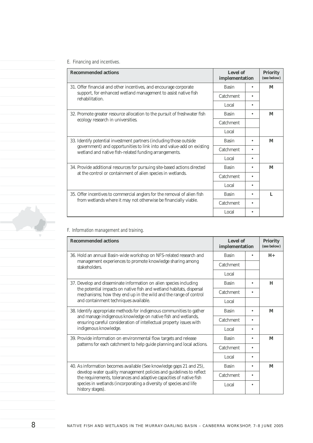## *E. Financing and incentives.*

| <b>Recommended actions</b>                                                                                                                                                                           | Level of<br>implementation | <b>Priority</b><br>(see below) |
|------------------------------------------------------------------------------------------------------------------------------------------------------------------------------------------------------|----------------------------|--------------------------------|
| 31. Offer financial and other incentives, and encourage corporate                                                                                                                                    | <b>Basin</b>               | M                              |
| support, for enhanced wetland management to assist native fish<br>rehabilitation.                                                                                                                    | Catchment                  |                                |
|                                                                                                                                                                                                      | Local                      |                                |
| 32. Promote greater resource allocation to the pursuit of freshwater fish                                                                                                                            | <b>Basin</b>               | M                              |
| ecology research in universities.                                                                                                                                                                    | Catchment                  |                                |
|                                                                                                                                                                                                      | Local                      |                                |
| 33. Identify potential investment partners (including those outside<br>government) and opportunities to link into and value-add on existing<br>wetland and native fish-related funding arrangements. | <b>Basin</b>               | M                              |
|                                                                                                                                                                                                      | Catchment                  |                                |
|                                                                                                                                                                                                      | Local                      |                                |
| 34. Provide additional resources for pursuing site-based actions directed                                                                                                                            | <b>Basin</b>               | M                              |
| at the control or containment of alien species in wetlands.                                                                                                                                          | Catchment                  |                                |
|                                                                                                                                                                                                      | Local                      |                                |
| 35. Offer incentives to commercial anglers for the removal of alien fish<br>from wetlands where it may not otherwise be financially viable.                                                          | <b>Basin</b>               | L                              |
|                                                                                                                                                                                                      | Catchment                  |                                |
|                                                                                                                                                                                                      | Local                      |                                |

## *F. Information management and training.*

| <b>Recommended actions</b>                                                                                                                                                                                         | Level of<br>implementation |   | <b>Priority</b><br>(see below) |
|--------------------------------------------------------------------------------------------------------------------------------------------------------------------------------------------------------------------|----------------------------|---|--------------------------------|
| 36. Hold an annual Basin-wide workshop on NFS-related research and                                                                                                                                                 | <b>Basin</b>               | ٠ | $H_{+}$                        |
| management experiences to promote knowledge sharing among<br>stakeholders.                                                                                                                                         | Catchment                  |   |                                |
|                                                                                                                                                                                                                    | Local                      |   |                                |
| 37. Develop and disseminate information on alien species including                                                                                                                                                 | <b>Basin</b>               | ٠ | H                              |
| the potential impacts on native fish and wetland habitats, dispersal<br>mechanisms; how they end up in the wild and the range of control                                                                           | Catchment                  |   |                                |
| and containment techniques available.                                                                                                                                                                              | Local                      |   |                                |
| 38. Identify appropriate methods for indigenous communities to gather<br>and manage indigenous knowledge on native fish and wetlands,<br>ensuring careful consideration of intellectual property issues with       | <b>Basin</b>               | ٠ | M                              |
|                                                                                                                                                                                                                    | Catchment                  |   |                                |
| indigenous knowledge.                                                                                                                                                                                              | Local                      |   |                                |
| 39. Provide information on environmental flow targets and release                                                                                                                                                  | <b>Basin</b>               |   | M                              |
| patterns for each catchment to help guide planning and local actions.                                                                                                                                              | Catchment                  |   |                                |
|                                                                                                                                                                                                                    | Local                      |   |                                |
| 40. As information becomes available (See knowledge gaps 21 and 25),<br>develop water quality management policies and guidelines to reflect<br>the requirements, tolerances and adaptive capacities of native fish | <b>Basin</b>               |   | M                              |
|                                                                                                                                                                                                                    | Catchment                  | ٠ |                                |
| species in wetlands (incorporating a diversity of species and life<br>history stages).                                                                                                                             | Local                      |   |                                |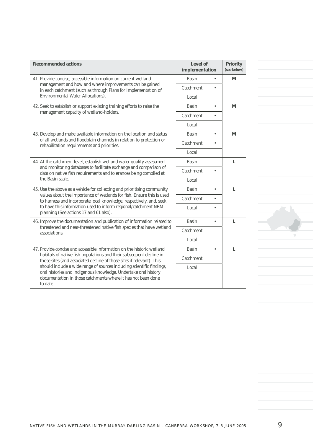| <b>Recommended actions</b>                                                                                                                                                                                           | Level of<br>implementation |           | <b>Priority</b><br>(see below) |
|----------------------------------------------------------------------------------------------------------------------------------------------------------------------------------------------------------------------|----------------------------|-----------|--------------------------------|
| 41. Provide concise, accessible information on current wetland                                                                                                                                                       | <b>Basin</b>               | $\bullet$ | M                              |
| management and how and where improvements can be gained<br>in each catchment (such as through Plans for Implementation of                                                                                            | Catchment                  |           |                                |
| <b>Environmental Water Allocations</b> ).                                                                                                                                                                            | Local                      |           |                                |
| 42. Seek to establish or support existing training efforts to raise the                                                                                                                                              | <b>Basin</b>               | $\bullet$ | M                              |
| management capacity of wetland-holders.                                                                                                                                                                              | Catchment                  | $\bullet$ |                                |
|                                                                                                                                                                                                                      | Local                      |           |                                |
| 43. Develop and make available information on the location and status                                                                                                                                                | <b>Basin</b>               | $\bullet$ | M                              |
| of all wetlands and floodplain channels in relation to protection or<br>rehabilitation requirements and priorities.                                                                                                  | Catchment                  |           |                                |
|                                                                                                                                                                                                                      | Local                      |           |                                |
| 44. At the catchment level, establish wetland water quality assessment                                                                                                                                               | <b>Basin</b>               |           | L                              |
| and monitoring databases to facilitate exchange and comparison of<br>data on native fish requirements and tolerances being compiled at                                                                               | Catchment                  | $\bullet$ |                                |
| the Basin scale.                                                                                                                                                                                                     | Local                      |           |                                |
| 45. Use the above as a vehicle for collecting and prioritising community                                                                                                                                             | <b>Basin</b>               | $\bullet$ | L                              |
| values about the importance of wetlands for fish. Ensure this is used<br>to harness and incorporate local knowledge, respectively, and, seek                                                                         | Catchment                  | $\bullet$ |                                |
| to have this information used to inform regional/catchment NRM<br>planning (See actions 17 and 61 also).                                                                                                             | Local                      | $\bullet$ |                                |
| 46. Improve the documentation and publication of information related to                                                                                                                                              | <b>Basin</b>               | $\bullet$ | L                              |
| threatened and near-threatened native fish species that have wetland<br>associations.                                                                                                                                | Catchment                  |           |                                |
|                                                                                                                                                                                                                      | Local                      |           |                                |
| 47. Provide concise and accessible information on the historic wetland                                                                                                                                               | <b>Basin</b>               | $\bullet$ | L                              |
| habitats of native fish populations and their subsequent decline in<br>those sites (and associated decline of those sites if relevant). This                                                                         | Catchment                  |           |                                |
| should include a wide range of sources including scientific findings,<br>oral histories and indigenous knowledge. Undertake oral history<br>documentation in those catchments where it has not been done<br>to date. | Local                      |           |                                |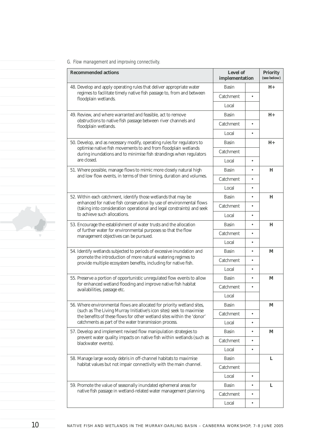## *G. Flow management and improving connectivity.*

| <b>Recommended actions</b>                                                                                                                     | Level of<br>implementation |           | <b>Priority</b><br>(see below) |
|------------------------------------------------------------------------------------------------------------------------------------------------|----------------------------|-----------|--------------------------------|
| 48. Develop and apply operating rules that deliver appropriate water                                                                           | <b>Basin</b>               |           | $H_{+}$                        |
| regimes to facilitate timely native fish passage to, from and between<br>floodplain wetlands.                                                  | Catchment                  |           |                                |
|                                                                                                                                                | Local                      |           |                                |
| 49. Review, and where warranted and feasible, act to remove                                                                                    | <b>Basin</b>               |           | $H+$                           |
| obstructions to native fish passage between river channels and<br>floodplain wetlands.                                                         | Catchment                  | $\bullet$ |                                |
|                                                                                                                                                | Local                      | $\bullet$ |                                |
| 50. Develop, and as necessary modify, operating rules for regulators to                                                                        | <b>Basin</b>               |           | $H_{+}$                        |
| optimise native fish movements to and from floodplain wetlands<br>during inundations and to minimise fish strandings when regulators           | Catchment                  |           |                                |
| are closed.                                                                                                                                    | Local                      | $\bullet$ |                                |
| 51. Where possible, manage flows to mimic more closely natural high                                                                            | <b>Basin</b>               | ٠         | Н                              |
| and low flow events, in terms of their timing, duration and volumes.                                                                           | Catchment                  |           |                                |
|                                                                                                                                                | Local                      |           |                                |
| 52. Within each catchment, identify those wetlands that may be                                                                                 | <b>Basin</b>               | ٠         | Н                              |
| enhanced for native fish conservation by use of environmental flows<br>(taking into consideration operational and legal constraints) and seek  | Catchment                  |           |                                |
| to achieve such allocations.                                                                                                                   | Local                      |           |                                |
| 53. Encourage the establishment of water trusts and the allocation                                                                             | <b>Basin</b>               | $\bullet$ | Н                              |
| of further water for environmental purposes so that the flow<br>management objectives can be pursued.                                          | Catchment                  | $\bullet$ |                                |
|                                                                                                                                                | Local                      | $\bullet$ |                                |
| 54. Identify wetlands subjected to periods of excessive inundation and                                                                         | <b>Basin</b>               | ٠         | M                              |
| promote the introduction of more natural watering regimes to<br>provide multiple ecosystem benefits, including for native fish.                | Catchment                  |           |                                |
|                                                                                                                                                | Local                      |           |                                |
| 55. Preserve a portion of opportunistic unregulated flow events to allow                                                                       | <b>Basin</b>               | $\bullet$ | M                              |
| for enhanced wetland flooding and improve native fish habitat<br>availabilities, passage etc.                                                  | Catchment                  | $\bullet$ |                                |
|                                                                                                                                                | Local                      |           |                                |
| 56. Where environmental flows are allocated for priority wetland sites,                                                                        | <b>Basin</b>               |           | $\mathbf M$                    |
| (such as The Living Murray Initiative's icon sites) seek to maximise<br>the benefits of these flows for other wetland sites within the 'donor' | Catchment                  | $\bullet$ |                                |
| catchments as part of the water transmission process.                                                                                          | Local                      | $\bullet$ |                                |
| 57. Develop and implement revised flow manipulation strategies to                                                                              | <b>Basin</b>               | $\bullet$ | M                              |
| prevent water quality impacts on native fish within wetlands (such as<br>blackwater events).                                                   | Catchment                  | ٠         |                                |
|                                                                                                                                                | Local                      | $\bullet$ |                                |
| 58. Manage large woody debris in off-channel habitats to maximise                                                                              | <b>Basin</b>               |           | L                              |
| habitat values but not impair connectivity with the main channel.                                                                              | Catchment                  |           |                                |
|                                                                                                                                                | Local                      | $\bullet$ |                                |
| 59. Promote the value of seasonally inundated ephemeral areas for                                                                              | <b>Basin</b>               | $\bullet$ | L                              |
| native fish passage in wetland-related water management planning.                                                                              | Catchment                  | ٠         |                                |
|                                                                                                                                                | Local                      | $\bullet$ |                                |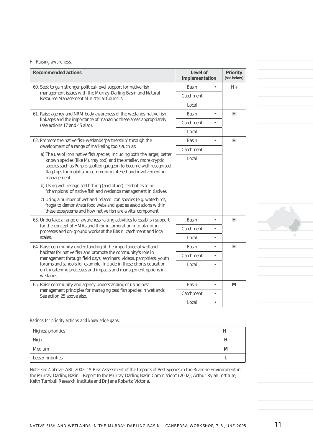## *H. Raising awareness.*

| <b>Recommended actions</b>                                                                                                                                                                                                                                                                      | Level of<br>implementation |           | <b>Priority</b><br>(see below) |
|-------------------------------------------------------------------------------------------------------------------------------------------------------------------------------------------------------------------------------------------------------------------------------------------------|----------------------------|-----------|--------------------------------|
| 60. Seek to gain stronger political-level support for native fish                                                                                                                                                                                                                               | <b>Basin</b>               | $\bullet$ | $H_{+}$                        |
| management issues with the Murray-Darling Basin and Natural<br>Resource Management Ministerial Councils.                                                                                                                                                                                        | Catchment                  |           |                                |
|                                                                                                                                                                                                                                                                                                 | Local                      |           |                                |
| 61. Raise agency and NRM body awareness of the wetlands-native fish                                                                                                                                                                                                                             | <b>Basin</b>               | $\bullet$ | H                              |
| linkages and the importance of managing these areas appropriately<br>(see actions 17 and 45 also).                                                                                                                                                                                              | Catchment                  |           |                                |
|                                                                                                                                                                                                                                                                                                 | Local                      |           |                                |
| 62. Promote the native fish-wetlands 'partnership' through the                                                                                                                                                                                                                                  | <b>Basin</b>               | $\bullet$ | H                              |
| development of a range of marketing tools such as:                                                                                                                                                                                                                                              | Catchment                  |           |                                |
| a) The use of icon native fish species, including both the larger, better<br>known species (like Murray cod) and the smaller, more cryptic<br>species such as Purple-spotted gudgeon to become well recognised<br>flagships for mobilising community interest and involvement in<br>management. | Local                      |           |                                |
| b) Using well recognised fishing (and other) celebrities to be<br>'champions' of native fish and wetlands management initiatives.                                                                                                                                                               |                            |           |                                |
| c) Using a number of wetland-related icon species (e.g. waterbirds,<br>frogs) to demonstrate food webs and species associations within<br>these ecosystems and how native fish are a vital component.                                                                                           |                            |           |                                |
| 63. Undertake a range of awareness raising activities to establish support                                                                                                                                                                                                                      | Basin                      | ٠         | H                              |
| for the concept of HMAs and their incorporation into planning<br>processes and on-ground works at the Basin, catchment and local                                                                                                                                                                | Catchment                  |           |                                |
| scales.                                                                                                                                                                                                                                                                                         | Local                      | $\bullet$ |                                |
| 64. Raise community understanding of the importance of wetland                                                                                                                                                                                                                                  | <b>Basin</b>               | $\bullet$ | H                              |
| habitats for native fish and promote the community's role in<br>management through field days, seminars, videos, pamphlets, youth                                                                                                                                                               | Catchment                  |           |                                |
| forums and schools for example. Include in these efforts education<br>on threatening processes and impacts and management options in<br>wetlands.                                                                                                                                               | Local                      |           |                                |
| 65. Raise community and agency understanding of using pest-<br>management principles for managing pest fish species in wetlands.<br>See action 25 above also.                                                                                                                                   | <b>Basin</b>               | ٠         | M                              |
|                                                                                                                                                                                                                                                                                                 | Catchment                  |           |                                |
|                                                                                                                                                                                                                                                                                                 | Local                      |           |                                |

*Ratings for priority actions and knowledge gaps.*

| Highest priorities | $H_{+}$ |
|--------------------|---------|
| High               | Н       |
| Medium             | M       |
| Lesser priorities  |         |

Note: see 4 above: ARI, 2002. "A Risk Assessment of the Impacts of Pest Species in the Riverine Environment in the Murray-Darling Basin – Report to the Murray-Darling Basin Commission" (2002); Arthur Rylah Institute, Keith Turnbull Research Institute and Dr Jane Roberts; Victoria.

NATIVE FISH AND WETLANDS IN THE MURRAY-DARLING BASIN - CANBERRA WORKSHOP, 7-8 JUNE 2005  $11$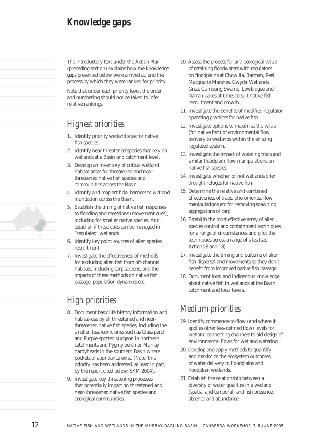The introductory text under the Action Plan (preceding section) explains how the knowledge gaps presented below were arrived at, and the process by which they were ranked for priority.

Note that under each priority level, the order and numbering should not be taken to infer relative rankings.

## *Highest priorities*

- 1. Identify priority wetland sites for native fish species.
- 2. Identify near threatened species that rely on wetlands at a Basin and catchment level.
- 3. Develop an inventory of critical wetland habitat areas for threatened and nearthreatened native fish species and communities across the Basin.
- 4. Identify and map artificial barriers to wetland inundation across the Basin.
- 5. Establish the timing of native fish responses to flooding and recessions (movement cues); including for smaller native species. And, establish if these cues can be managed in "regulated" wetlands.
- 6. Identify key point sources of alien species recruitment.
- 7. Investigate the effectiveness of methods for excluding alien fish from off-channel habitats, including carp screens, and the impacts of these methods on native fish passage, population dynamics etc.

## *High priorities*

- 8. Document basic life history information and habitat-use by all threatened and nearthreatened native fish species, including the smaller, less iconic ones such as Glass perch and Purple-spotted gudgeon in northern catchments and Pygmy perch or Murray hardyheads in the southern Basin where pockets of abundance exist. (Note: this priority has been addressed, at least in part, by the report cited below; SKM 2004).
- 9. Investigate key threatening processes that potentially impact on threatened and near-threatened native fish species and ecological communities.
- 10. Assess the process for and ecological value of retaining floodwaters with regulators on floodplains at Chowilla, Barmah, Peel, Macquarie Marshes, Gwydir Wetlands, Great Cumbung Swamp, Lowbidgee and Narran Lakes at times to suit native fish recruitment and growth.
- 11. Investigate the benefits of modified regulator operating practices for native fish.
- 12. Investigate options to maximise the value (for native fish) of environmental flow delivery to wetlands within the existing regulated system.
- 13. Investigate the impact of watering trials and similar floodplain flow manipulations on native fish species.
- 14. Investigate whether or not wetlands offer drought refuges for native fish.
- 15. Determine the relative and combined effectiveness of traps, pheromones, flow manipulations etc for removing spawning aggregations of carp.
- 16. Establish the most effective array of alien species control and containment techniques for a range of circumstances and pilot the techniques across a range of sites (see Actions 8 and 18).
- 17. Investigate the timing and patterns of alien fish dispersal and movements so they don't benefit from improved native fish passage.
- 18. Document local and indigenous knowledge about native fish in wetlands at the Basin, catchment and local levels.

## *Medium priorities*

- 19. Identify commence-to-flow (and where it applies other less-defined flow) levels for wetland connecting channels to aid design of environmental flows for wetland watering.
- 20. Develop and apply methods to quantify and maximize the ecosystem outcomes of water delivery to floodplains and floodplain wetlands.
- 21. Establish the relationship between a diversity of water qualities in a wetland (spatial and temporal) and fish presence, absence and abundance.